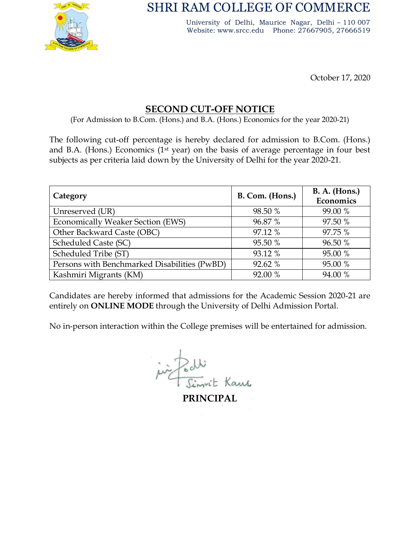

# SHRI RAM COLLEGE OF COMMERCE

University of Delhi, Maurice Nagar, Delhi – 110 007 Website: www.srcc.edu Phone: 27667905, 27666519

October 17, 2020

## SECOND CUT-OFF NOTICE

(For Admission to B.Com. (Hons.) and B.A. (Hons.) Economics for the year 2020-21)

The following cut-off percentage is hereby declared for admission to B.Com. (Hons.) and B.A. (Hons.) Economics (1<sup>st</sup> year) on the basis of average percentage in four best subjects as per criteria laid down by the University of Delhi for the year 2020-21.

| Category                                     | B. Com. (Hons.) | <b>B. A. (Hons.)</b><br>Economics |
|----------------------------------------------|-----------------|-----------------------------------|
| Unreserved (UR)                              | 98.50 %         | 99.00 %                           |
| <b>Economically Weaker Section (EWS)</b>     | 96.87 %         | 97.50 %                           |
| Other Backward Caste (OBC)                   | 97.12 %         | 97.75 %                           |
| Scheduled Caste (SC)                         | 95.50 %         | 96.50 %                           |
| Scheduled Tribe (ST)                         | 93.12 %         | 95.00 %                           |
| Persons with Benchmarked Disabilities (PwBD) | 92.62 %         | 95.00 %                           |
| Kashmiri Migrants (KM)                       | 92.00 %         | 94.00 %                           |

Candidates are hereby informed that admissions for the Academic Session 2020-21 are entirely on ONLINE MODE through the University of Delhi Admission Portal.

No in-person interaction within the College premises will be entertained for admission.

in Podi

PRINCIPAL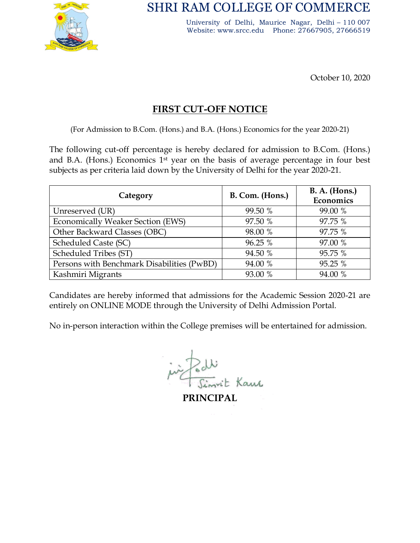

SHRI RAM COLLEGE OF COMMERCE

University of Delhi, Maurice Nagar, Delhi – 110 007 Website: www.srcc.edu Phone: 27667905, 27666519

October 10, 2020

## FIRST CUT-OFF NOTICE

(For Admission to B.Com. (Hons.) and B.A. (Hons.) Economics for the year 2020-21)

The following cut-off percentage is hereby declared for admission to B.Com. (Hons.) and B.A. (Hons.) Economics 1st year on the basis of average percentage in four best subjects as per criteria laid down by the University of Delhi for the year 2020-21.

| Category                                   | B. Com. (Hons.) | <b>B. A. (Hons.)</b><br>Economics |
|--------------------------------------------|-----------------|-----------------------------------|
| Unreserved (UR)                            | 99.50 %         | 99.00 %                           |
| <b>Economically Weaker Section (EWS)</b>   | 97.50 %         | 97.75 %                           |
| Other Backward Classes (OBC)               | 98.00 %         | 97.75 %                           |
| Scheduled Caste (SC)                       | 96.25 %         | 97.00 %                           |
| Scheduled Tribes (ST)                      | 94.50 %         | 95.75 %                           |
| Persons with Benchmark Disabilities (PwBD) | 94.00 %         | 95.25 %                           |
| Kashmiri Migrants                          | 93.00 %         | 94.00 %                           |

Candidates are hereby informed that admissions for the Academic Session 2020-21 are entirely on ONLINE MODE through the University of Delhi Admission Portal.

No in-person interaction within the College premises will be entertained for admission.

in Podi

PRINCIPAL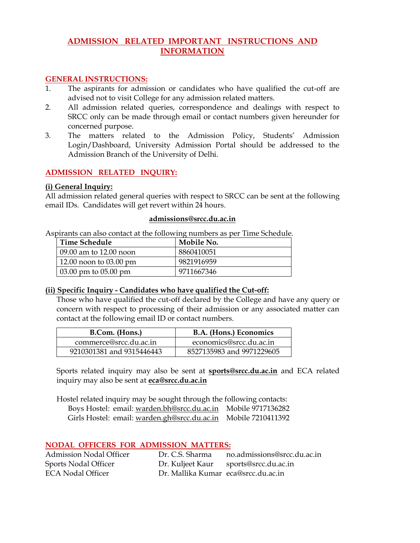### **ADMISSION RELATED IMPORTANT INSTRUCTIONS AND INFORMATION**

#### **GENERAL INSTRUCTIONS:**

- 1. The aspirants for admission or candidates who have qualified the cut-off are advised not to visit College for any admission related matters.
- 2. All admission related queries, correspondence and dealings with respect to SRCC only can be made through email or contact numbers given hereunder for concerned purpose.
- 3. The matters related to the Admission Policy, Students' Admission Login/Dashboard, University Admission Portal should be addressed to the Admission Branch of the University of Delhi.

#### **ADMISSION RELATED INQUIRY:**

#### **(i) General Inquiry:**

All admission related general queries [with respect to SRCC](mailto:admissions@srcc.du.ac.in) can be sent at the following email IDs. Candidates will get revert within 24 hours.

#### **admissions@srcc.du.ac.in**

Aspirants can also contact at the following numbers as per Time Schedule.

| Time Schedule                        | Mobile No. |
|--------------------------------------|------------|
| 09.00 am to 12.00 noon               | 8860410051 |
| 12.00 noon to $03.00 \text{ pm}$     | 9821916959 |
| $\vert 03.00 \rangle$ pm to 05.00 pm | 9711667346 |

#### **(ii) Specific Inquiry - Candidates who have qualified the Cut-off:**

Those who have qualified the cut-off declared by the College and have any query or concern with respect to processing of their admission or any associated matter can contact at [the following](mailto:commerce@srcc.du.ac.in) email ID or contact n[umbers.](mailto:economics@srcc.du.ac.in)

| B.Com. (Hons.)            | B.A. (Hons.) Economics    |
|---------------------------|---------------------------|
| commerce@srcc.du.ac.in    | economics@srcc.du.ac.in   |
| 9210301381 and 9315446443 | 8527135983 and 9971229605 |

Sports related inquiry may al[so be sent at](mailto:eca@srcc.du.ac.in) **sports@srcc.du.ac.in** and ECA related inquiry may also be sent at **eca@srcc.du.ac.in**

Hostel related inquiry ma[y be sought through the follow](mailto:warden.bh@srcc.du.ac.in)ing contacts: Boys Hostel: email: wa[rden.bh@srcc.du.ac.in](mailto:warden.gh@srcc.du.ac.in) Mobile 9717136282 Girls Hostel: email: warden.gh@srcc.du.ac.in Mobile 7210411392

#### **NODAL OFFICERS FOR ADMISSION MATTERS:**

| no.admissions@srcc.du.ac.in<br>Dr. C.S. Sharma |
|------------------------------------------------|
| Dr. Kuljeet Kaur sports@srcc.du.ac.in          |
| Dr. Mallika Kumar eca@srcc.du.ac.in            |
|                                                |